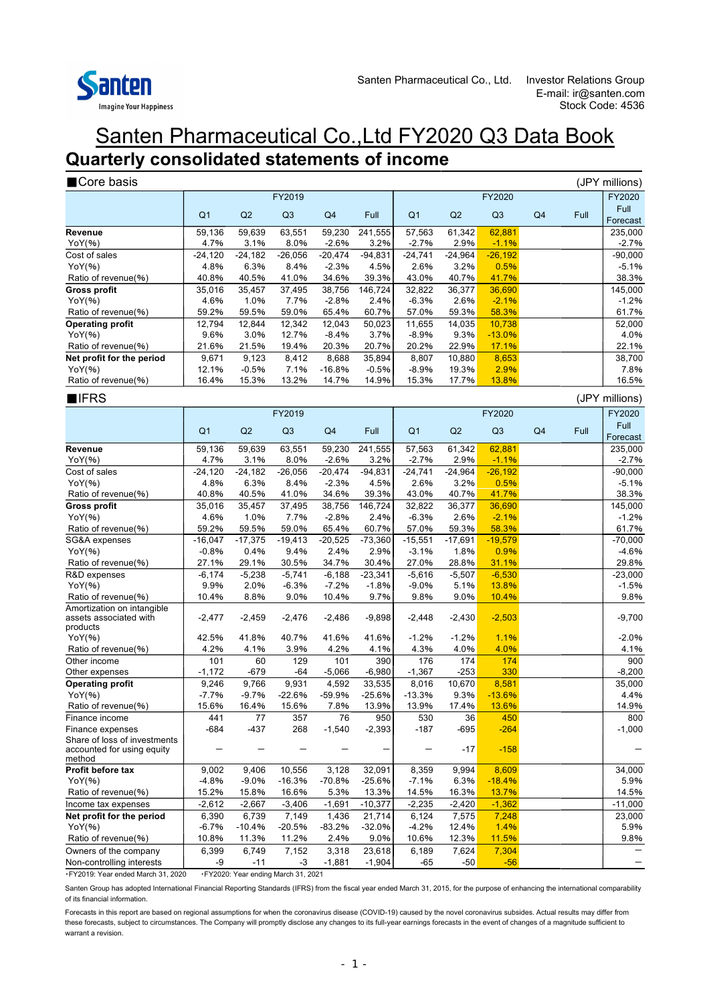

### Santen Pharmaceutical Co.,Ltd FY2020 Q3 Data Book **Quarterly consolidated statements of income**

| Core basis                                                       |                   |                   |                   |                      |                    |                      |                   |                      |                |      | (JPY millions)       |  |
|------------------------------------------------------------------|-------------------|-------------------|-------------------|----------------------|--------------------|----------------------|-------------------|----------------------|----------------|------|----------------------|--|
|                                                                  | FY2019            |                   |                   |                      |                    |                      | FY2020            |                      |                |      |                      |  |
|                                                                  | Q <sub>1</sub>    | Q2                | Q3                | Q4                   | Full               | Q <sub>1</sub>       | Q2                | Q3                   | Q <sub>4</sub> | Full | Full                 |  |
|                                                                  |                   |                   |                   |                      |                    |                      |                   |                      |                |      | Forecast             |  |
| Revenue                                                          | 59,136            | 59,639            | 63,551            | 59,230               | 241,555            | 57,563               | 61,342            | 62,881               |                |      | 235,000              |  |
| YoY(%)<br>Cost of sales                                          | 4.7%<br>$-24,120$ | 3.1%<br>$-24,182$ | 8.0%<br>$-26,056$ | $-2.6%$<br>$-20,474$ | 3.2%<br>$-94,831$  | $-2.7%$<br>$-24,741$ | 2.9%<br>$-24,964$ | $-1.1%$<br>$-26,192$ |                |      | $-2.7%$<br>$-90,000$ |  |
| YoY(%)                                                           | 4.8%              | 6.3%              | 8.4%              | $-2.3%$              | 4.5%               | 2.6%                 | 3.2%              | 0.5%                 |                |      | $-5.1%$              |  |
| Ratio of revenue(%)                                              | 40.8%             | 40.5%             | 41.0%             | 34.6%                | 39.3%              | 43.0%                | 40.7%             | 41.7%                |                |      | 38.3%                |  |
| <b>Gross profit</b>                                              | 35,016            | 35,457            | 37,495            | 38,756               | 146,724            | 32,822               | 36,377            | 36,690               |                |      | 145,000              |  |
| YoY(%)                                                           | 4.6%              | 1.0%              | 7.7%              | $-2.8%$              | 2.4%               | $-6.3%$              | 2.6%              | $-2.1%$              |                |      | $-1.2%$              |  |
| Ratio of revenue(%)                                              | 59.2%             | 59.5%             | 59.0%             | 65.4%                | 60.7%              | 57.0%                | 59.3%             | 58.3%                |                |      | 61.7%                |  |
| <b>Operating profit</b>                                          | 12.794            | 12.844            | 12.342            | 12,043               | 50,023             | 11,655               | 14,035            | 10,738               |                |      | 52,000               |  |
| YoY(%)                                                           | 9.6%              | 3.0%              | 12.7%             | $-8.4%$              | 3.7%               | $-8.9%$              | 9.3%              | $-13.0%$             |                |      | 4.0%                 |  |
| Ratio of revenue(%)                                              | 21.6%             | 21.5%             | 19.4%             | 20.3%                | 20.7%              | 20.2%                | 22.9%             | 17.1%                |                |      | 22.1%                |  |
| Net profit for the period                                        | 9,671             | 9,123             | 8,412             | 8,688                | 35,894             | 8,807                | 10,880            | 8,653                |                |      | 38,700               |  |
| YoY(%)                                                           | 12.1%<br>16.4%    | $-0.5%$           | 7.1%<br>13.2%     | $-16.8%$             | $-0.5%$<br>14.9%   | $-8.9%$<br>15.3%     | 19.3%             | 2.9%<br>13.8%        |                |      | 7.8%<br>16.5%        |  |
| Ratio of revenue(%)                                              |                   | 15.3%             |                   | 14.7%                |                    |                      | 17.7%             |                      |                |      |                      |  |
| <b>NIFRS</b>                                                     |                   |                   |                   |                      |                    |                      |                   |                      |                |      | (JPY millions)       |  |
|                                                                  |                   |                   | FY2019            |                      |                    |                      |                   | FY2020               |                |      | FY2020               |  |
|                                                                  | Q <sub>1</sub>    | Q2                | Q3                | Q <sub>4</sub>       | Full               | Q <sub>1</sub>       | Q2                | Q <sub>3</sub>       | Q4             | Full | Full<br>Forecast     |  |
| Revenue                                                          | 59,136            | 59,639            | 63,551            | 59,230               | 241,555            | 57,563               | 61,342            | 62,881               |                |      | 235,000              |  |
| YoY(%)                                                           | 4.7%              | 3.1%              | 8.0%              | $-2.6%$              | 3.2%               | $-2.7%$              | 2.9%              | $-1.1%$              |                |      | $-2.7%$              |  |
| Cost of sales                                                    | $-24,120$         | $-24,182$         | $-26,056$         | $-20,474$            | $-94,831$          | $-24,741$            | $-24,964$         | $-26,192$            |                |      | $-90,000$            |  |
| YoY(%)                                                           | 4.8%              | 6.3%              | 8.4%              | $-2.3%$              | 4.5%               | 2.6%                 | 3.2%              | 0.5%                 |                |      | $-5.1%$              |  |
| Ratio of revenue(%)                                              | 40.8%             | 40.5%             | 41.0%             | 34.6%                | 39.3%              | 43.0%                | 40.7%             | 41.7%                |                |      | 38.3%                |  |
| <b>Gross profit</b>                                              | 35,016            | 35,457            | 37,495            | 38,756               | 146,724            | 32,822               | 36,377            | 36,690               |                |      | 145,000              |  |
| YoY(%)                                                           | 4.6%              | 1.0%              | 7.7%              | $-2.8%$              | 2.4%               | $-6.3%$              | 2.6%              | $-2.1%$              |                |      | $-1.2%$              |  |
| Ratio of revenue(%)                                              | 59.2%             | 59.5%             | 59.0%             | 65.4%                | 60.7%              | 57.0%                | 59.3%             | 58.3%                |                |      | 61.7%                |  |
| SG&A expenses                                                    | $-16,047$         | $-17,375$         | $-19,413$         | $-20,525$            | $-73,360$          | $-15,551$            | $-17,691$         | $-19,579$            |                |      | $-70,000$            |  |
| YoY(%)                                                           | $-0.8%$           | 0.4%              | 9.4%              | 2.4%                 | 2.9%               | $-3.1%$<br>27.0%     | 1.8%<br>28.8%     | 0.9%<br>31.1%        |                |      | $-4.6%$<br>29.8%     |  |
| Ratio of revenue(%)<br>R&D expenses                              | 27.1%<br>$-6,174$ | 29.1%<br>$-5,238$ | 30.5%<br>$-5,741$ | 34.7%<br>$-6,188$    | 30.4%<br>$-23,341$ | $-5,616$             | $-5,507$          | $-6,530$             |                |      | $-23,000$            |  |
| YoY(%)                                                           | 9.9%              | 2.0%              | $-6.3%$           | $-7.2%$              | $-1.8%$            | $-9.0%$              | 5.1%              | 13.8%                |                |      | $-1.5%$              |  |
| Ratio of revenue(%)                                              | 10.4%             | 8.8%              | 9.0%              | 10.4%                | 9.7%               | 9.8%                 | 9.0%              | 10.4%                |                |      | 9.8%                 |  |
| Amortization on intangible<br>assets associated with<br>products | $-2,477$          | $-2,459$          | $-2,476$          | $-2,486$             | $-9,898$           | $-2,448$             | $-2,430$          | $-2,503$             |                |      | $-9,700$             |  |
| YoY(%)                                                           | 42.5%             | 41.8%             | 40.7%             | 41.6%                | 41.6%              | $-1.2%$              | $-1.2%$           | 1.1%                 |                |      | $-2.0%$              |  |
| Ratio of revenue(%)                                              | 4.2%              | 4.1%              | 3.9%              | 4.2%                 | 4.1%               | 4.3%                 | 4.0%              | 4.0%                 |                |      | 4.1%                 |  |
| Other income                                                     | 101               | 60                | 129               | 101                  | 390                | 176                  | 174               | 174                  |                |      | 900                  |  |
| Other expenses                                                   | $-1,172$          | $-679$            | -64               | $-5,066$             | $-6,980$           | $-1,367$             | $-253$            | 330                  |                |      | $-8,200$             |  |
| Operating profit                                                 | 9,246             | 9,766             | 9,931             | 4,592                | 33,535             | 8,016                | 10,670            | 8,581                |                |      | 35,000               |  |
| YoY(%)                                                           | $-7.7%$           | $-9.7%$           | $-22.6%$          | $-59.9%$             | $-25.6%$           | $-13.3%$             | 9.3%              | $-13.6%$             |                |      | 4.4%                 |  |
| Ratio of revenue(%)                                              | 15.6%             | 16.4%             | 15.6%             | 7.8%                 | 13.9%              | 13.9%                | 17.4%             | 13.6%                |                |      | 14.9%                |  |
| Finance income<br>Finance expenses                               | 441<br>$-684$     | 77<br>-437        | 357<br>268        | 76<br>$-1,540$       | 950<br>$-2,393$    | 530<br>$-187$        | 36<br>$-695$      | 450<br>$-264$        |                |      | 800<br>$-1,000$      |  |
| Share of loss of investments                                     |                   |                   |                   |                      |                    |                      |                   |                      |                |      |                      |  |
| accounted for using equity                                       |                   |                   |                   |                      |                    |                      | -17               | $-158$               |                |      |                      |  |
| method<br>Profit before tax                                      | 9,002             | 9,406             | 10,556            | 3,128                | 32,091             | 8,359                | 9,994             | 8,609                |                |      | 34,000               |  |
| YoY(%)                                                           | -4.8%             | $-9.0%$           | $-16.3%$          | $-70.8%$             | -25.6%             | $-7.1%$              | 6.3%              | $-18.4%$             |                |      | 5.9%                 |  |
| Ratio of revenue(%)                                              | 15.2%             | 15.8%             | 16.6%             | 5.3%                 | 13.3%              | 14.5%                | 16.3%             | 13.7%                |                |      | 14.5%                |  |
| Income tax expenses                                              | $-2,612$          | $-2,667$          | $-3,406$          | $-1,691$             | $-10,377$          | $-2,235$             | $-2,420$          | $-1,362$             |                |      | $-11,000$            |  |
| Net profit for the period                                        | 6,390             | 6.739             | 7,149             | 1,436                | 21,714             | 6,124                | 7,575             | 7,248                |                |      | 23,000               |  |
| YoY(%)                                                           | -6.7%             | $-10.4%$          | $-20.5%$          | $-83.2%$             | $-32.0%$           | $-4.2%$              | 12.4%             | 1.4%                 |                |      | 5.9%                 |  |
| Ratio of revenue(%)                                              | 10.8%             | 11.3%             | 11.2%             | 2.4%                 | 9.0%               | 10.6%                | 12.3%             | 11.5%                |                |      | 9.8%                 |  |
| Owners of the company                                            | 6,399             | 6,749             | 7,152             | 3,318                | 23,618             | 6,189                | 7,624             | 7,304                |                |      |                      |  |
| Non-controlling interests                                        | -9                | $-11$             | $-3$              | $-1,881$             | $-1,904$           | -65                  | -50               | $-56$                |                |      |                      |  |

・FY2019: Year ended March 31, 2020 ・FY2020: Year ending March 31, 2021

Santen Group has adopted International Financial Reporting Standards (IFRS) from the fiscal year ended March 31, 2015, for the purpose of enhancing the international comparability of its financial information.

Forecasts in this report are based on regional assumptions for when the coronavirus disease (COVID-19) caused by the novel coronavirus subsides. Actual results may differ from these forecasts, subject to circumstances. The Company will promptly disclose any changes to its full-year earnings forecasts in the event of changes of a magnitude sufficient to warrant a revision.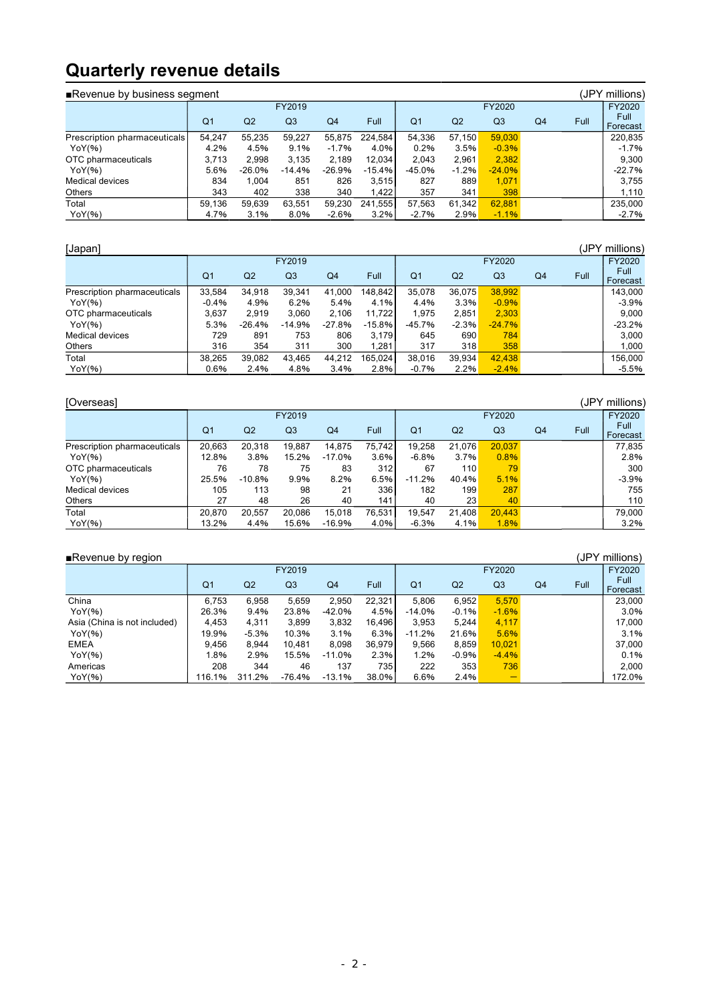# **Quarterly revenue details**

| (JPY millions)<br>■Revenue by business segment |                |                |                |                |          |                |         |                |    |      |                  |  |  |  |
|------------------------------------------------|----------------|----------------|----------------|----------------|----------|----------------|---------|----------------|----|------|------------------|--|--|--|
|                                                | FY2019         |                |                |                |          |                | FY2020  |                |    |      |                  |  |  |  |
|                                                | Q <sub>1</sub> | Q <sub>2</sub> | Q <sub>3</sub> | Q <sub>4</sub> | Full     | Q <sub>1</sub> | Q2      | Q <sub>3</sub> | Q4 | Full | Full<br>Forecast |  |  |  |
| Prescription pharmaceuticals                   | 54,247         | 55.235         | 59,227         | 55,875         | 224.584  | 54.336         | 57.150  | 59,030         |    |      | 220,835          |  |  |  |
| YoY(%)                                         | 4.2%           | 4.5%           | 9.1%           | $-1.7%$        | 4.0%     | 0.2%           | 3.5%    | $-0.3%$        |    |      | $-1.7%$          |  |  |  |
| OTC pharmaceuticals                            | 3.713          | 2.998          | 3,135          | 2.189          | 12.034   | 2.043          | 2.961   | 2,382          |    |      | 9.300            |  |  |  |
| YoY(%)                                         | 5.6%           | -26.0%         | $-14.4%$       | -26.9%         | $-15.4%$ | -45.0%         | $-1.2%$ | $-24.0%$       |    |      | $-22.7%$         |  |  |  |
| Medical devices                                | 834            | 1.004          | 851            | 826            | 3,515    | 827            | 889     | 1,071          |    |      | 3.755            |  |  |  |
| Others                                         | 343            | 402            | 338            | 340            | 1.422    | 357            | 341     | 398            |    |      | 1,110            |  |  |  |
| Total                                          | 59.136         | 59.639         | 63,551         | 59.230         | 241.555  | 57,563         | 61.342  | 62,881         |    |      | 235,000          |  |  |  |
| YoY(%)                                         | 4.7%           | 3.1%           | 8.0%           | $-2.6%$        | 3.2%     | $-2.7%$        | 2.9%    | $-1.1%$        |    |      | $-2.7%$          |  |  |  |

| (JPY millions)<br>[Japan]    |                |                |                |                |          |                |         |                |    |      |                  |  |  |
|------------------------------|----------------|----------------|----------------|----------------|----------|----------------|---------|----------------|----|------|------------------|--|--|
|                              |                |                | FY2019         |                |          |                |         | FY2020         |    |      | FY2020           |  |  |
|                              | Q <sub>1</sub> | Q <sub>2</sub> | Q <sub>3</sub> | Q <sub>4</sub> | Full     | Q <sub>1</sub> | Q2      | Q <sub>3</sub> | Q4 | Full | Full<br>Forecast |  |  |
| Prescription pharmaceuticals | 33,584         | 34.918         | 39.341         | 41.000         | 148.842  | 35,078         | 36.075  | 38,992         |    |      | 143.000          |  |  |
| YoY(%)                       | $-0.4%$        | 4.9%           | 6.2%           | 5.4%           | 4.1%     | 4.4%           | 3.3%    | $-0.9%$        |    |      | $-3.9%$          |  |  |
| OTC pharmaceuticals          | 3.637          | 2.919          | 3.060          | 2.106          | 11.722   | 1.975          | 2,851   | 2,303          |    |      | 9.000            |  |  |
| YoY(%)                       | 5.3%           | -26.4%         | $-14.9%$       | -27.8%         | $-15.8%$ | -45.7%         | $-2.3%$ | $-24.7%$       |    |      | $-23.2%$         |  |  |
| Medical devices              | 729            | 891            | 753            | 806            | 3.179    | 645            | 690     | 784            |    |      | 3.000            |  |  |
| Others                       | 316            | 354            | 311            | 300            | 1.281    | 317            | 318     | 358            |    |      | 1,000            |  |  |
| Total                        | 38.265         | 39.082         | 43.465         | 44.212         | 165.024  | 38.016         | 39.934  | 42.438         |    |      | 156.000          |  |  |
| YoY(%)                       | 0.6%           | 2.4%           | 4.8%           | 3.4%           | 2.8%     | $-0.7%$        | 2.2%    | $-2.4%$        |    |      | $-5.5%$          |  |  |

| [Overseas]                   | (JPY millions) |          |        |          |        |                |                |                |    |      |                  |  |  |  |
|------------------------------|----------------|----------|--------|----------|--------|----------------|----------------|----------------|----|------|------------------|--|--|--|
|                              |                |          | FY2019 |          |        |                |                | FY2020         |    |      |                  |  |  |  |
|                              | Q <sub>1</sub> | Q2       | Q3     | Q4       | Full   | Q <sub>1</sub> | Q <sub>2</sub> | Q <sub>3</sub> | Q4 | Full | Full<br>Forecast |  |  |  |
| Prescription pharmaceuticals | 20,663         | 20.318   | 19.887 | 14.875   | 75.742 | 19,258         | 21.076         | 20.037         |    |      | 77.835           |  |  |  |
| YoY(%)                       | 12.8%          | 3.8%     | 15.2%  | -17.0%   | 3.6%   | $-6.8%$        | 3.7%           | 0.8%           |    |      | 2.8%             |  |  |  |
| OTC pharmaceuticals          | 76             | 78       | 75     | 83       | 312    | 67             | 110            | 79             |    |      | 300              |  |  |  |
| YoY(%)                       | 25.5%          | $-10.8%$ | 9.9%   | 8.2%     | 6.5%   | $-11.2%$       | 40.4%          | 5.1%           |    |      | $-3.9%$          |  |  |  |
| Medical devices              | 105            | 113      | 98     | 21       | 336    | 182            | 199            | 287            |    |      | 755              |  |  |  |
| <b>Others</b>                | 27             | 48       | 26     | 40       | 141    | 40             | 23             | 40             |    |      | 110              |  |  |  |
| Total                        | 20.870         | 20.557   | 20.086 | 15.018   | 76.531 | 19.547         | 21.408         | 20.443         |    |      | 79.000           |  |  |  |
| YoY(%)                       | 13.2%          | 4.4%     | 15.6%  | $-16.9%$ | 4.0%   | $-6.3%$        | 4.1%           | 1.8%           |    |      | 3.2%             |  |  |  |

| (JPY millions)<br>Revenue by region |                |         |                |                |        |                |         |                |    |      |                  |  |  |  |
|-------------------------------------|----------------|---------|----------------|----------------|--------|----------------|---------|----------------|----|------|------------------|--|--|--|
|                                     |                |         | FY2019         |                |        |                |         | FY2020         |    |      | FY2020           |  |  |  |
|                                     | Q <sub>1</sub> | Q2      | Q <sub>3</sub> | Q <sub>4</sub> | Full   | Q <sub>1</sub> | Q2      | Q <sub>3</sub> | Q4 | Full | Full<br>Forecast |  |  |  |
| China                               | 6.753          | 6.958   | 5.659          | 2.950          | 22.321 | 5.806          | 6,952   | 5,570          |    |      | 23,000           |  |  |  |
| YoY(%)                              | 26.3%          | 9.4%    | 23.8%          | $-42.0%$       | 4.5%   | $-14.0%$       | $-0.1%$ | $-1.6%$        |    |      | 3.0%             |  |  |  |
| Asia (China is not included)        | 4.453          | 4.311   | 3.899          | 3,832          | 16.496 | 3.953          | 5.244   | 4,117          |    |      | 17.000           |  |  |  |
| YoY(%)                              | 19.9%          | $-5.3%$ | 10.3%          | 3.1%           | 6.3%   | $-11.2%$       | 21.6%   | 5.6%           |    |      | 3.1%             |  |  |  |
| <b>EMEA</b>                         | 9.456          | 8.944   | 10.481         | 8,098          | 36,979 | 9.566          | 8,859   | 10,021         |    |      | 37.000           |  |  |  |
| YoY(%)                              | .8%            | 2.9%    | 15.5%          | $-11.0%$       | 2.3%   | 1.2%           | $-0.9%$ | $-4.4%$        |    |      | 0.1%             |  |  |  |
| Americas                            | 208            | 344     | 46             | 137            | 735    | 222            | 353     | 736            |    |      | 2.000            |  |  |  |
| YoY(%)                              | 116.1%         | 311.2%  | $-76.4%$       | $-13.1%$       | 38.0%  | 6.6%           | 2.4%    | -              |    |      | 172.0%           |  |  |  |